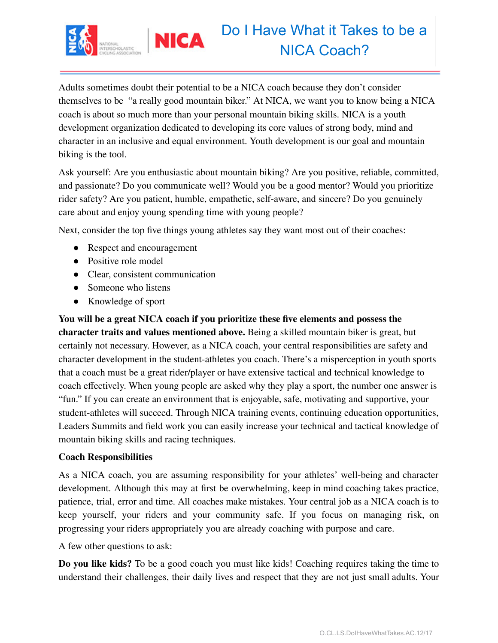

Adults sometimes doubt their potential to be a NICA coach because they don't consider themselves to be "a really good mountain biker." At NICA, we want you to know being a NICA coach is about so much more than your personal mountain biking skills. NICA is a youth development organization dedicated to developing its core values of strong body, mind and character in an inclusive and equal environment. Youth development is our goal and mountain biking is the tool.

Ask yourself: Are you enthusiastic about mountain biking? Are you positive, reliable, committed, and passionate? Do you communicate well? Would you be a good mentor? Would you prioritize rider safety? Are you patient, humble, empathetic, self-aware, and sincere? Do you genuinely care about and enjoy young spending time with young people?

Next, consider the top five things young athletes say they want most out of their coaches:

- Respect and encouragement
- Positive role model
- Clear, consistent communication
- Someone who listens
- Knowledge of sport

**You will be a great NICA coach if you prioritize these five elements and possess the character traits and values mentioned above.** Being a skilled mountain biker is great, but certainly not necessary. However, as a NICA coach, your central responsibilities are safety and character development in the student-athletes you coach. There's a misperception in youth sports that a coach must be a great rider/player or have extensive tactical and technical knowledge to coach effectively. When young people are asked why they play a sport, the number one answer is "fun." If you can create an environment that is enjoyable, safe, motivating and supportive, your student-athletes will succeed. Through NICA training events, continuing education opportunities, Leaders Summits and field work you can easily increase your technical and tactical knowledge of mountain biking skills and racing techniques.

## **Coach Responsibilities**

As a NICA coach, you are assuming responsibility for your athletes' well-being and character development. Although this may at first be overwhelming, keep in mind coaching takes practice, patience, trial, error and time. All coaches make mistakes. Your central job as a NICA coach is to keep yourself, your riders and your community safe. If you focus on managing risk, on progressing your riders appropriately you are already coaching with purpose and care.

A few other questions to ask:

**Do you like kids?** To be a good coach you must like kids! Coaching requires taking the time to understand their challenges, their daily lives and respect that they are not just small adults. Your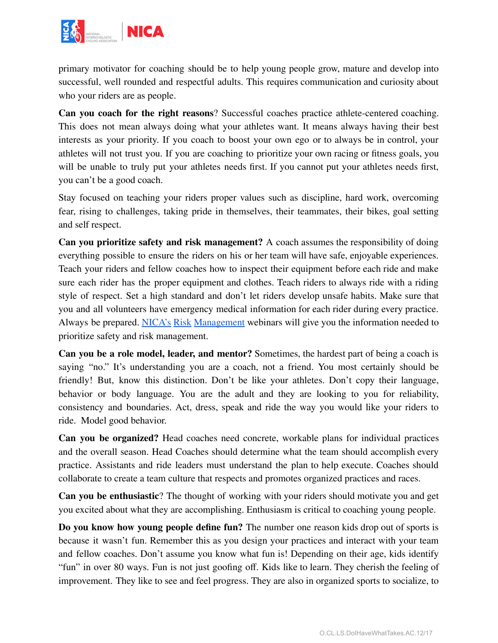

primary motivator for coaching should be to help young people grow, mature and develop into successful, well rounded and respectful adults. This requires communication and curiosity about who your riders are as people.

**Can you coach for the right reasons**? Successful coaches practice athlete-centered coaching. This does not mean always doing what your athletes want. It means always having their best interests as your priority. If you coach to boost your own ego or to always be in control, your athletes will not trust you. If you are coaching to prioritize your own racing or fitness goals, you will be unable to truly put your athletes needs first. If you cannot put your athletes needs first, you can't be a good coach.

Stay focused on teaching your riders proper values such as discipline, hard work, overcoming fear, rising to challenges, taking pride in themselves, their teammates, their bikes, goal setting and self respect.

**Can you prioritize safety and risk management?** A coach assumes the responsibility of doing everything possible to ensure the riders on his or her team will have safe, enjoyable experiences. Teach your riders and fellow coaches how to inspect their equipment before each ride and make sure each rider has the proper equipment and clothes. Teach riders to always ride with a riding style of respect. Set a high standard and don't let riders develop unsafe habits. Make sure that you and all volunteers have emergency medical information for each rider during every practice. Always be prepared. NICA's Risk [Management](http://www.nationalmtb.org/webinar-series/) webinars will give you the information needed to prioritize safety and risk management.

**Can you be a role model, leader, and mentor?** Sometimes, the hardest part of being a coach is saying "no." It's understanding you are a coach, not a friend. You most certainly should be friendly! But, know this distinction. Don't be like your athletes. Don't copy their language, behavior or body language. You are the adult and they are looking to you for reliability, consistency and boundaries. Act, dress, speak and ride the way you would like your riders to ride. Model good behavior.

**Can you be organized?** Head coaches need concrete, workable plans for individual practices and the overall season. Head Coaches should determine what the team should accomplish every practice. Assistants and ride leaders must understand the plan to help execute. Coaches should collaborate to create a team culture that respects and promotes organized practices and races.

**Can you be enthusiastic**? The thought of working with your riders should motivate you and get you excited about what they are accomplishing. Enthusiasm is critical to coaching young people.

**Do you know how young people define fun?** The number one reason kids drop out of sports is because it wasn't fun. Remember this as you design your practices and interact with your team and fellow coaches. Don't assume you know what fun is! Depending on their age, kids identify "fun" in over 80 ways. Fun is not just goofing off. Kids like to learn. They cherish the feeling of improvement. They like to see and feel progress. They are also in organized sports to socialize, to